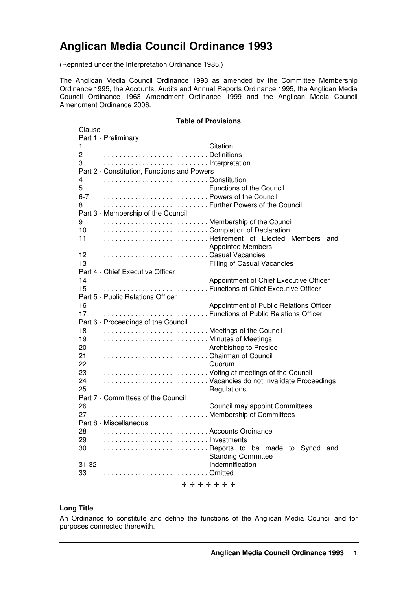# **Anglican Media Council Ordinance 1993**

(Reprinted under the Interpretation Ordinance 1985.)

The Anglican Media Council Ordinance 1993 as amended by the Committee Membership Ordinance 1995, the Accounts, Audits and Annual Reports Ordinance 1995, the Anglican Media Council Ordinance 1963 Amendment Ordinance 1999 and the Anglican Media Council Amendment Ordinance 2006.

# **Table of Provisions**

| Clause        | Part 1 - Preliminary                                                         |                           |     |
|---------------|------------------------------------------------------------------------------|---------------------------|-----|
| 1             |                                                                              |                           |     |
| 2             |                                                                              |                           |     |
| 3             | Interpretation                                                               |                           |     |
|               | Part 2 - Constitution, Functions and Powers                                  |                           |     |
| 4             |                                                                              |                           |     |
| 5             | Functions of the Council                                                     |                           |     |
| $6 - 7$       | Powers of the Council                                                        |                           |     |
| 8             | Further Powers of the Council                                                |                           |     |
|               | Part 3 - Membership of the Council                                           |                           |     |
| 9             | Membership of the Council                                                    |                           |     |
| 10            | Completion of Declaration                                                    |                           |     |
| 11            | Retirement of Elected Members                                                |                           | and |
| 12            | Casual Vacancies                                                             | <b>Appointed Members</b>  |     |
| 13            | Filling of Casual Vacancies                                                  |                           |     |
|               | Part 4 - Chief Executive Officer                                             |                           |     |
| 14            | Appointment of Chief Executive Officer                                       |                           |     |
| 15            | Functions of Chief Executive Officer                                         |                           |     |
|               | Part 5 - Public Relations Officer                                            |                           |     |
| 16            | Appointment of Public Relations Officer                                      |                           |     |
| 17            | Functions of Public Relations Officer                                        |                           |     |
|               | Part 6 - Proceedings of the Council                                          |                           |     |
| 18            | Meetings of the Council                                                      |                           |     |
| 19            | Minutes of Meetings                                                          |                           |     |
| 20            | Archbishop to Preside                                                        |                           |     |
| 21            | Chairman of Council                                                          |                           |     |
| 22            |                                                                              |                           |     |
| 23<br>24      | Voting at meetings of the Council<br>Vacancies do not Invalidate Proceedings |                           |     |
| 25            | Regulations                                                                  |                           |     |
|               | Part 7 - Committees of the Council                                           |                           |     |
| 26            | Council may appoint Committees                                               |                           |     |
| 27            | Membership of Committees                                                     |                           |     |
|               | Part 8 - Miscellaneous                                                       |                           |     |
| 28            | Accounts Ordinance                                                           |                           |     |
| 29            |                                                                              |                           |     |
| 30            | Reports to be made to Synod and                                              |                           |     |
|               |                                                                              | <b>Standing Committee</b> |     |
|               | 31-32 Indemnification                                                        |                           |     |
| 33            |                                                                              |                           |     |
| + + + + + + + |                                                                              |                           |     |

#### **Long Title**

An Ordinance to constitute and define the functions of the Anglican Media Council and for purposes connected therewith.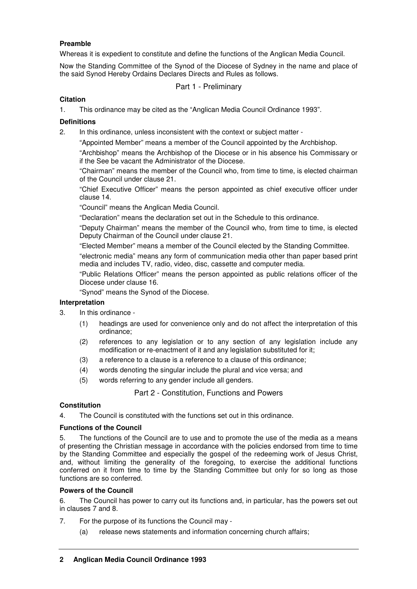# **Preamble**

Whereas it is expedient to constitute and define the functions of the Anglican Media Council.

Now the Standing Committee of the Synod of the Diocese of Sydney in the name and place of the said Synod Hereby Ordains Declares Directs and Rules as follows.

# Part 1 - Preliminary

# **Citation**

1. This ordinance may be cited as the "Anglican Media Council Ordinance 1993".

# **Definitions**

2. In this ordinance, unless inconsistent with the context or subject matter -

"Appointed Member" means a member of the Council appointed by the Archbishop.

"Archbishop" means the Archbishop of the Diocese or in his absence his Commissary or if the See be vacant the Administrator of the Diocese.

"Chairman" means the member of the Council who, from time to time, is elected chairman of the Council under clause 21.

"Chief Executive Officer" means the person appointed as chief executive officer under clause 14.

"Council" means the Anglican Media Council.

"Declaration" means the declaration set out in the Schedule to this ordinance.

"Deputy Chairman" means the member of the Council who, from time to time, is elected Deputy Chairman of the Council under clause 21.

"Elected Member" means a member of the Council elected by the Standing Committee.

"electronic media" means any form of communication media other than paper based print media and includes TV, radio, video, disc, cassette and computer media.

"Public Relations Officer" means the person appointed as public relations officer of the Diocese under clause 16.

"Synod" means the Synod of the Diocese.

## **Interpretation**

- 3. In this ordinance
	- (1) headings are used for convenience only and do not affect the interpretation of this ordinance;
	- (2) references to any legislation or to any section of any legislation include any modification or re-enactment of it and any legislation substituted for it;
	- (3) a reference to a clause is a reference to a clause of this ordinance;
	- (4) words denoting the singular include the plural and vice versa; and
	- (5) words referring to any gender include all genders.

Part 2 - Constitution, Functions and Powers

## **Constitution**

4. The Council is constituted with the functions set out in this ordinance.

## **Functions of the Council**

5. The functions of the Council are to use and to promote the use of the media as a means of presenting the Christian message in accordance with the policies endorsed from time to time by the Standing Committee and especially the gospel of the redeeming work of Jesus Christ, and, without limiting the generality of the foregoing, to exercise the additional functions conferred on it from time to time by the Standing Committee but only for so long as those functions are so conferred.

## **Powers of the Council**

6. The Council has power to carry out its functions and, in particular, has the powers set out in clauses 7 and 8.

- 7. For the purpose of its functions the Council may
	- (a) release news statements and information concerning church affairs;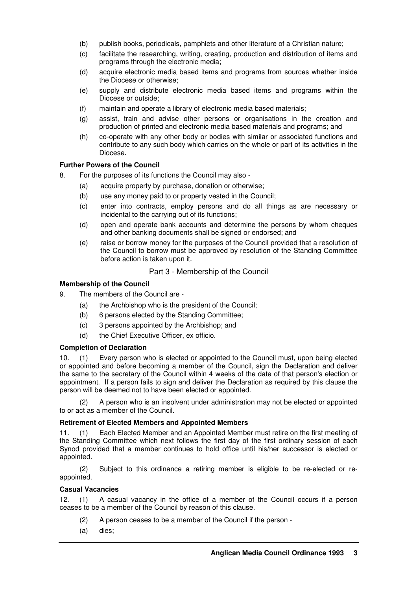- (b) publish books, periodicals, pamphlets and other literature of a Christian nature;
- (c) facilitate the researching, writing, creating, production and distribution of items and programs through the electronic media;
- (d) acquire electronic media based items and programs from sources whether inside the Diocese or otherwise;
- (e) supply and distribute electronic media based items and programs within the Diocese or outside;
- (f) maintain and operate a library of electronic media based materials;
- (g) assist, train and advise other persons or organisations in the creation and production of printed and electronic media based materials and programs; and
- (h) co-operate with any other body or bodies with similar or associated functions and contribute to any such body which carries on the whole or part of its activities in the Diocese.

#### **Further Powers of the Council**

- 8. For the purposes of its functions the Council may also
	- (a) acquire property by purchase, donation or otherwise;
	- (b) use any money paid to or property vested in the Council;
	- (c) enter into contracts, employ persons and do all things as are necessary or incidental to the carrying out of its functions;
	- (d) open and operate bank accounts and determine the persons by whom cheques and other banking documents shall be signed or endorsed; and
	- (e) raise or borrow money for the purposes of the Council provided that a resolution of the Council to borrow must be approved by resolution of the Standing Committee before action is taken upon it.

## Part 3 - Membership of the Council

## **Membership of the Council**

- 9. The members of the Council are
	- (a) the Archbishop who is the president of the Council;
	- (b) 6 persons elected by the Standing Committee;
	- (c) 3 persons appointed by the Archbishop; and
	- (d) the Chief Executive Officer, ex officio.

#### **Completion of Declaration**

10. (1) Every person who is elected or appointed to the Council must, upon being elected or appointed and before becoming a member of the Council, sign the Declaration and deliver the same to the secretary of the Council within 4 weeks of the date of that person's election or appointment. If a person fails to sign and deliver the Declaration as required by this clause the person will be deemed not to have been elected or appointed.

 (2) A person who is an insolvent under administration may not be elected or appointed to or act as a member of the Council.

#### **Retirement of Elected Members and Appointed Members**

11. (1) Each Elected Member and an Appointed Member must retire on the first meeting of the Standing Committee which next follows the first day of the first ordinary session of each Synod provided that a member continues to hold office until his/her successor is elected or appointed.

 (2) Subject to this ordinance a retiring member is eligible to be re-elected or reappointed.

#### **Casual Vacancies**

12. (1) A casual vacancy in the office of a member of the Council occurs if a person ceases to be a member of the Council by reason of this clause.

- (2) A person ceases to be a member of the Council if the person -
- (a) dies;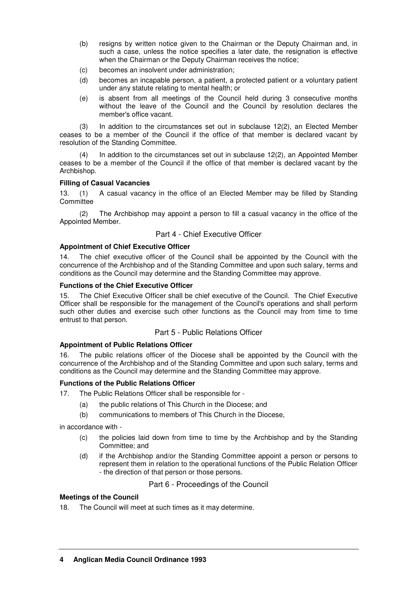- (b) resigns by written notice given to the Chairman or the Deputy Chairman and, in such a case, unless the notice specifies a later date, the resignation is effective when the Chairman or the Deputy Chairman receives the notice;
- (c) becomes an insolvent under administration;
- (d) becomes an incapable person, a patient, a protected patient or a voluntary patient under any statute relating to mental health; or
- (e) is absent from all meetings of the Council held during 3 consecutive months without the leave of the Council and the Council by resolution declares the member's office vacant.

 (3) In addition to the circumstances set out in subclause 12(2), an Elected Member ceases to be a member of the Council if the office of that member is declared vacant by resolution of the Standing Committee.

In addition to the circumstances set out in subclause  $12(2)$ , an Appointed Member ceases to be a member of the Council if the office of that member is declared vacant by the Archbishop.

## **Filling of Casual Vacancies**

13. (1) A casual vacancy in the office of an Elected Member may be filled by Standing **Committee** 

 (2) The Archbishop may appoint a person to fill a casual vacancy in the office of the Appointed Member.

# Part 4 - Chief Executive Officer

# **Appointment of Chief Executive Officer**

14. The chief executive officer of the Council shall be appointed by the Council with the concurrence of the Archbishop and of the Standing Committee and upon such salary, terms and conditions as the Council may determine and the Standing Committee may approve.

## **Functions of the Chief Executive Officer**

15. The Chief Executive Officer shall be chief executive of the Council. The Chief Executive Officer shall be responsible for the management of the Council's operations and shall perform such other duties and exercise such other functions as the Council may from time to time entrust to that person.

## Part 5 - Public Relations Officer

## **Appointment of Public Relations Officer**

16. The public relations officer of the Diocese shall be appointed by the Council with the concurrence of the Archbishop and of the Standing Committee and upon such salary, terms and conditions as the Council may determine and the Standing Committee may approve.

## **Functions of the Public Relations Officer**

17. The Public Relations Officer shall be responsible for -

- (a) the public relations of This Church in the Diocese; and
- (b) communications to members of This Church in the Diocese,

in accordance with -

- (c) the policies laid down from time to time by the Archbishop and by the Standing Committee; and
- (d) if the Archbishop and/or the Standing Committee appoint a person or persons to represent them in relation to the operational functions of the Public Relation Officer - the direction of that person or those persons.

Part 6 - Proceedings of the Council

## **Meetings of the Council**

18. The Council will meet at such times as it may determine.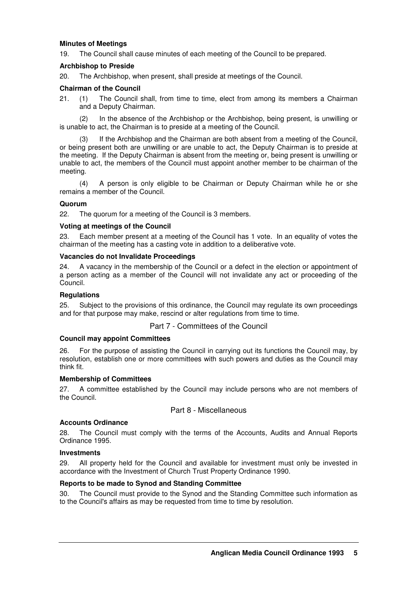#### **Minutes of Meetings**

19. The Council shall cause minutes of each meeting of the Council to be prepared.

#### **Archbishop to Preside**

20. The Archbishop, when present, shall preside at meetings of the Council.

#### **Chairman of the Council**

21. (1) The Council shall, from time to time, elect from among its members a Chairman and a Deputy Chairman.

 (2) In the absence of the Archbishop or the Archbishop, being present, is unwilling or is unable to act, the Chairman is to preside at a meeting of the Council.

If the Archbishop and the Chairman are both absent from a meeting of the Council, or being present both are unwilling or are unable to act, the Deputy Chairman is to preside at the meeting. If the Deputy Chairman is absent from the meeting or, being present is unwilling or unable to act, the members of the Council must appoint another member to be chairman of the meeting.

 (4) A person is only eligible to be Chairman or Deputy Chairman while he or she remains a member of the Council.

#### **Quorum**

22. The quorum for a meeting of the Council is 3 members.

#### **Voting at meetings of the Council**

23. Each member present at a meeting of the Council has 1 vote. In an equality of votes the chairman of the meeting has a casting vote in addition to a deliberative vote.

#### **Vacancies do not Invalidate Proceedings**

24. A vacancy in the membership of the Council or a defect in the election or appointment of a person acting as a member of the Council will not invalidate any act or proceeding of the Council.

#### **Regulations**

25. Subject to the provisions of this ordinance, the Council may regulate its own proceedings and for that purpose may make, rescind or alter regulations from time to time.

## Part 7 - Committees of the Council

#### **Council may appoint Committees**

26. For the purpose of assisting the Council in carrying out its functions the Council may, by resolution, establish one or more committees with such powers and duties as the Council may think fit.

#### **Membership of Committees**

27. A committee established by the Council may include persons who are not members of the Council.

## Part 8 - Miscellaneous

## **Accounts Ordinance**

28. The Council must comply with the terms of the Accounts, Audits and Annual Reports Ordinance 1995.

#### **Investments**

29. All property held for the Council and available for investment must only be invested in accordance with the Investment of Church Trust Property Ordinance 1990.

## **Reports to be made to Synod and Standing Committee**

30. The Council must provide to the Synod and the Standing Committee such information as to the Council's affairs as may be requested from time to time by resolution.